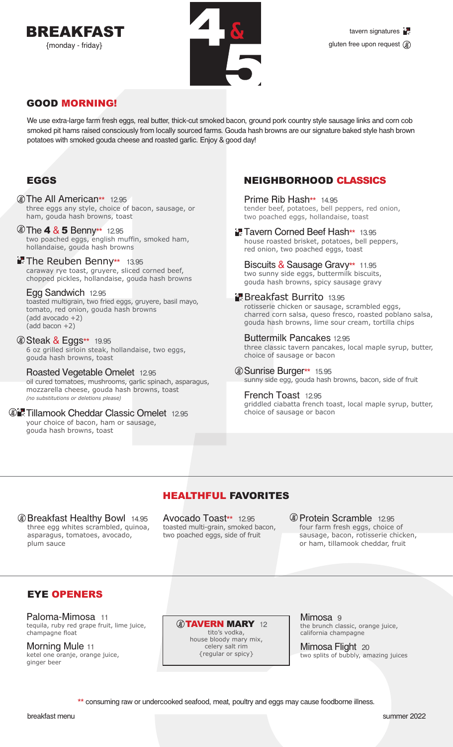



## GOOD MORNING!

We use extra-large farm fresh eggs, real butter, thick-cut smoked bacon, ground pork country style sausage links and corn cob smoked pit hams raised consciously from locally sourced farms. Gouda hash browns are our signature baked style hash brown potatoes with smoked gouda cheese and roasted garlic. Enjoy & good day!

## EGGS

- **The All American\*\*** 12.95 three eggs any style, choice of bacon, sausage, or ham, gouda hash browns, toast
- **The 4 & 5 Benny\*\*** 12.95 two poached eggs, english muffin, smoked ham, hollandaise, gouda hash browns
- **The Reuben Benny\*\*** 13.95 caraway rye toast, gruyere, sliced corned beef, chopped pickles, hollandaise, gouda hash browns

Egg Sandwich 12.95 toasted multigrain, two fried eggs, gruyere, basil mayo, tomato, red onion, gouda hash browns (add avocado +2) (add bacon +2)

*Steak & Eggs\*\** 19.95 6 oz grilled sirloin steak, hollandaise, two eggs, gouda hash browns, toast

Roasted Vegetable Omelet 12.95 oil cured tomatoes, mushrooms, garlic spinach, asparagus, mozzarella cheese, gouda hash browns, toast *(no substitutions or deletions please)*

**Tillamook Cheddar Classic Omelet 12.95** your choice of bacon, ham or sausage. gouda hash browns, toast

## NEIGHBORHOOD CLASSICS

Prime Rib Hash\*\* 14.95 tender beef, potatoes, bell peppers, red onion, two poached eggs, hollandaise, toast

**Tavern Corned Beef Hash\*\*** 13.95 house roasted brisket, potatoes, bell peppers, red onion, two poached eggs, toast

Biscuits & Sausage Gravy\*\* 11.95 two sunny side eggs, buttermilk biscuits,

gouda hash browns, spicy sausage gravy

#### **Breakfast Burrito 13.95**

rotisserie chicken or sausage, scrambled eggs, charred corn salsa, queso fresco, roasted poblano salsa, gouda hash browns, lime sour cream, tortilla chips

Buttermilk Pancakes 12.95 three classic tavern pancakes, local maple syrup, butter, choice of sausage or bacon

Sunrise Burger\*\* 15.95 sunny side egg, gouda hash browns, bacon, side of fruit

French Toast 12.95 griddled ciabatta french toast, local maple syrup, butter, choice of sausage or bacon

## HEALTHFUL FAVORITES

**Breakfast Healthy Bowl 14.95** three egg whites scrambled, quinoa, asparagus, tomatoes, avocado, plum sauce

Avocado Toast\*\* 12.95 toasted multi-grain, smoked bacon, two poached eggs, side of fruit

**C** Protein Scramble 12.95 four farm fresh eggs, choice of sausage, bacon, rotisserie chicken, or ham, tillamook cheddar, fruit

## EYE OPENERS

Paloma-Mimosa 11 tequila, ruby red grape fruit, lime juice, champagne float

Morning Mule 11 ketel one oranje, orange juice, ginger beer

**@TAVERN MARY 12** 

tito's vodka, house bloody mary mix, celery salt rim {regular or spicy}

Mimosa 9 the brunch classic, orange juice, california champagne

Mimosa Flight 20 two splits of bubbly, amazing juices

\*\* consuming raw or undercooked seafood, meat, poultry and eggs may cause foodborne illness.